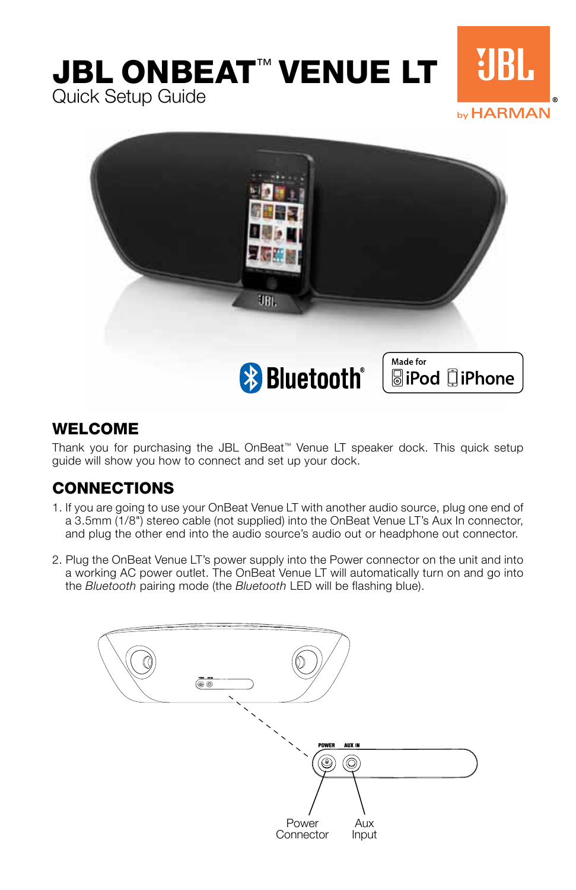# JBL OnBeat™ VENUE LT Quick Setup Guide by HARMAN



#### **WELCOME**

Thank you for purchasing the JBL OnBeat™ Venue LT speaker dock. This quick setup guide will show you how to connect and set up your dock.

## CONNECTIONS

- 1. If you are going to use your OnBeat Venue LT with another audio source, plug one end of a 3.5mm (1/8") stereo cable (not supplied) into the OnBeat Venue LT's Aux In connector, and plug the other end into the audio source's audio out or headphone out connector.
- 2. Plug the OnBeat Venue LT's power supply into the Power connector on the unit and into a working AC power outlet. The OnBeat Venue LT will automatically turn on and go into the Bluetooth pairing mode (the Bluetooth LED will be flashing blue).

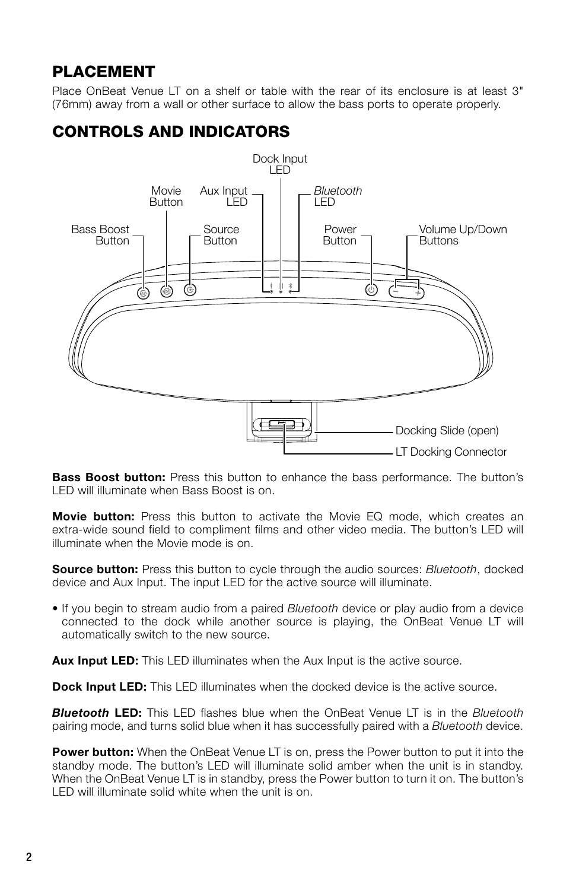#### PLACEMENT

Place OnBeat Venue LT on a shelf or table with the rear of its enclosure is at least 3" (76mm) away from a wall or other surface to allow the bass ports to operate properly.

### CONTROLS AND INDICATORS



Bass Boost button: Press this button to enhance the bass performance. The button's LED will illuminate when Bass Boost is on.

Movie button: Press this button to activate the Movie EQ mode, which creates an extra-wide sound field to compliment films and other video media. The button's LED will illuminate when the Movie mode is on.

**Source button:** Press this button to cycle through the audio sources: *Bluetooth*, docked device and Aux Input. The input LED for the active source will illuminate.

• If you begin to stream audio from a paired Bluetooth device or play audio from a device connected to the dock while another source is playing, the OnBeat Venue LT will automatically switch to the new source.

**Aux Input LED:** This LED illuminates when the Aux Input is the active source.

**Dock Input LED:** This LED illuminates when the docked device is the active source.

**Bluetooth LED:** This LED flashes blue when the OnBeat Venue LT is in the Bluetooth pairing mode, and turns solid blue when it has successfully paired with a Bluetooth device.

**Power button:** When the OnBeat Venue LT is on, press the Power button to put it into the standby mode. The button's LED will illuminate solid amber when the unit is in standby. When the OnBeat Venue LT is in standby, press the Power button to turn it on. The button's LED will illuminate solid white when the unit is on.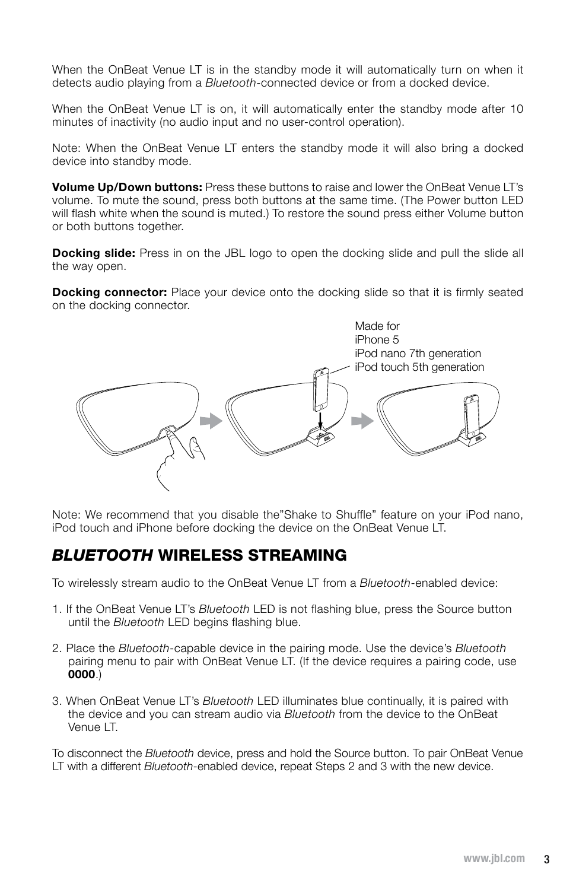When the OnBeat Venue LT is in the standby mode it will automatically turn on when it detects audio playing from a *Bluetooth*-connected device or from a docked device.

When the OnBeat Venue LT is on, it will automatically enter the standby mode after 10 minutes of inactivity (no audio input and no user-control operation).

Note: When the OnBeat Venue LT enters the standby mode it will also bring a docked device into standby mode.

Volume Up/Down buttons: Press these buttons to raise and lower the OnBeat Venue LT's volume. To mute the sound, press both buttons at the same time. (The Power button LED will flash white when the sound is muted.) To restore the sound press either Volume button or both buttons together.

**Docking slide:** Press in on the JBL logo to open the docking slide and pull the slide all the way open.

**Docking connector:** Place your device onto the docking slide so that it is firmly seated on the docking connector.



Note: We recommend that you disable the"Shake to Shuffle" feature on your iPod nano, iPod touch and iPhone before docking the device on the OnBeat Venue LT.

#### BLUETOOTH WIRELESS STREAMING

To wirelessly stream audio to the OnBeat Venue LT from a Bluetooth-enabled device:

- 1. If the OnBeat Venue LT's Bluetooth LED is not flashing blue, press the Source button until the Bluetooth LED begins flashing blue.
- 2. Place the Bluetooth-capable device in the pairing mode. Use the device's Bluetooth pairing menu to pair with OnBeat Venue LT. (If the device requires a pairing code, use 0000.)
- 3. When OnBeat Venue LT's Bluetooth LED illuminates blue continually, it is paired with the device and you can stream audio via Bluetooth from the device to the OnBeat Venue LT.

To disconnect the Bluetooth device, press and hold the Source button. To pair OnBeat Venue LT with a different Bluetooth-enabled device, repeat Steps 2 and 3 with the new device.